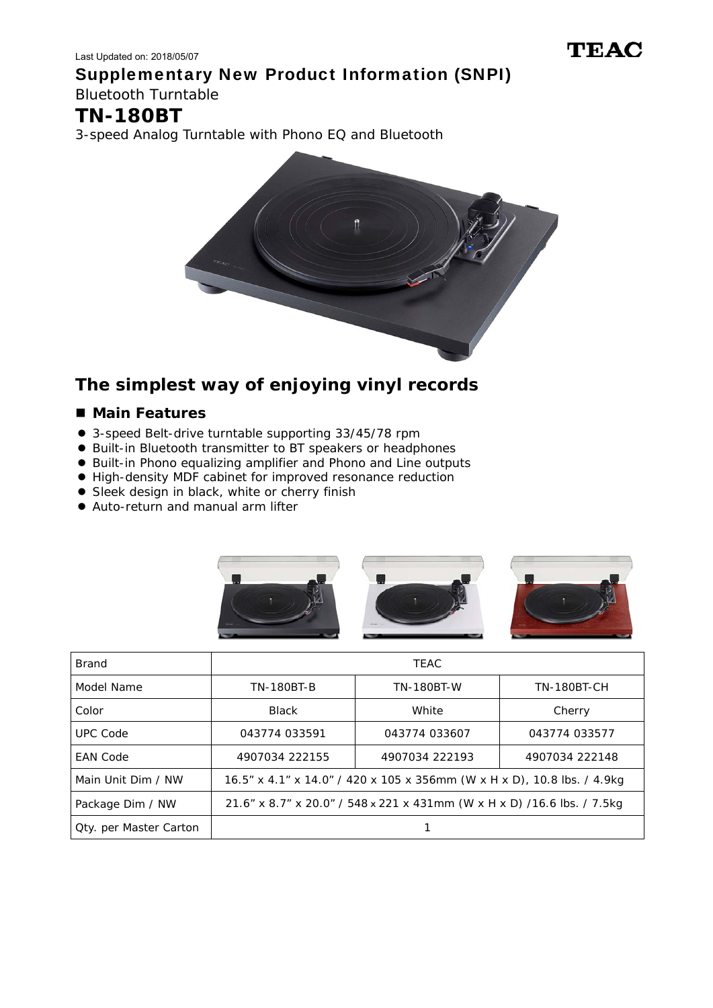Last Updated on: 2018/05/07 Supplementary New Product Information (SNPI) Bluetooth Turntable

## **TN-180BT**

3-speed Analog Turntable with Phono EQ and Bluetooth



## **The simplest way of enjoying vinyl records**

## ■ Main Features

- 3-speed Belt-drive turntable supporting 33/45/78 rpm
- Built-in Bluetooth transmitter to BT speakers or headphones
- Built-in Phono equalizing amplifier and Phono and Line outputs
- High-density MDF cabinet for improved resonance reduction
- Sleek design in black, white or cherry finish
- Auto-return and manual arm lifter





| Brand                         | <b>TEAC</b>                                                              |                   |                |
|-------------------------------|--------------------------------------------------------------------------|-------------------|----------------|
| Model Name                    | <b>TN-180BT-B</b>                                                        | <b>TN-180BT-W</b> | TN-180BT-CH    |
| Color                         | <b>Black</b>                                                             | White             | Cherry         |
| <b>UPC Code</b>               | 043774 033591                                                            | 043774 033607     | 043774 033577  |
| <b>EAN Code</b>               | 4907034 222155                                                           | 4907034 222193    | 4907034 222148 |
| Main Unit Dim / NW            | 16.5" x 4.1" x 14.0" / 420 x 105 x 356mm (W x H x D), 10.8 lbs. / 4.9kg  |                   |                |
| Package Dim / NW              | 21.6" x 8.7" x 20.0" / 548 x 221 x 431mm (W x H x D) / 16.6 lbs. / 7.5kg |                   |                |
| <b>Qty.</b> per Master Carton |                                                                          |                   |                |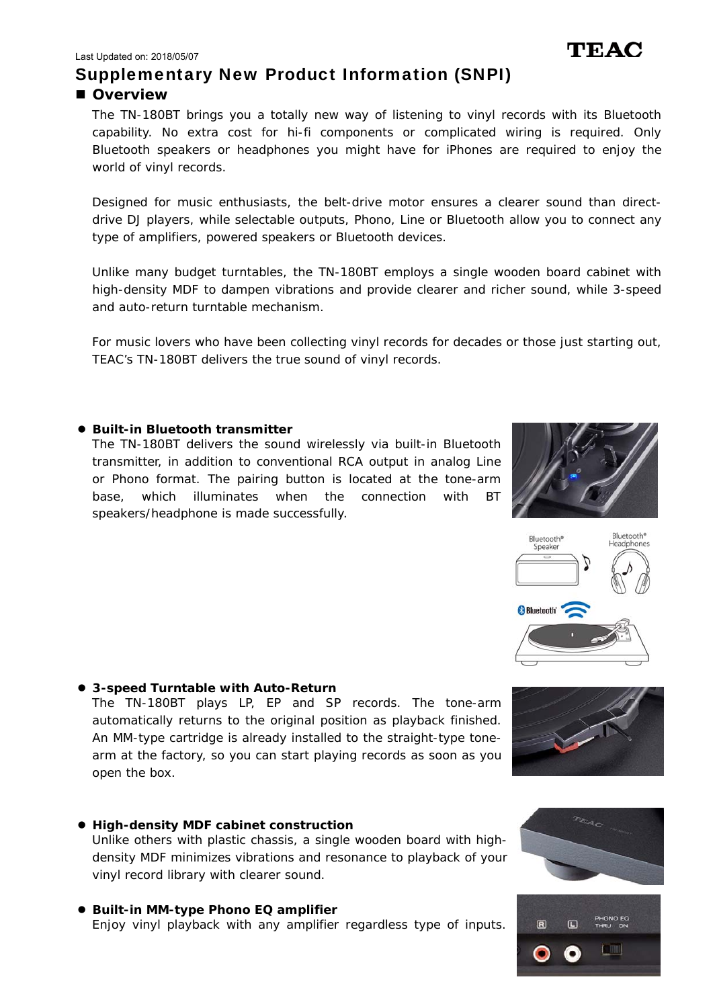## Supplementary New Product Information (SNPI)

### **Overview**

The TN-180BT brings you a totally new way of listening to vinyl records with its Bluetooth capability. No extra cost for hi-fi components or complicated wiring is required. Only Bluetooth speakers or headphones you might have for iPhones are required to enjoy the world of vinyl records.

Designed for music enthusiasts, the belt-drive motor ensures a clearer sound than directdrive DJ players, while selectable outputs, Phono, Line or Bluetooth allow you to connect any type of amplifiers, powered speakers or Bluetooth devices.

Unlike many budget turntables, the TN-180BT employs a single wooden board cabinet with high-density MDF to dampen vibrations and provide clearer and richer sound, while 3-speed and auto-return turntable mechanism.

For music lovers who have been collecting vinyl records for decades or those just starting out, TEAC's TN-180BT delivers the true sound of vinyl records.

#### **Built-in Bluetooth transmitter**

The TN-180BT delivers the sound wirelessly via built-in Bluetooth transmitter, in addition to conventional RCA output in analog Line or Phono format. The pairing button is located at the tone-arm base, which illuminates when the connection with BT speakers/headphone is made successfully.

## **3-speed Turntable with Auto-Return**

The TN-180BT plays LP, EP and SP records. The tone-arm automatically returns to the original position as playback finished. An MM-type cartridge is already installed to the straight-type tonearm at the factory, so you can start playing records as soon as you open the box.

- **High-density MDF cabinet construction**  Unlike others with plastic chassis, a single wooden board with highdensity MDF minimizes vibrations and resonance to playback of your vinyl record library with clearer sound.
- **Built-in MM-type Phono EQ amplifier**  Enjoy vinyl playback with any amplifier regardless type of inputs.











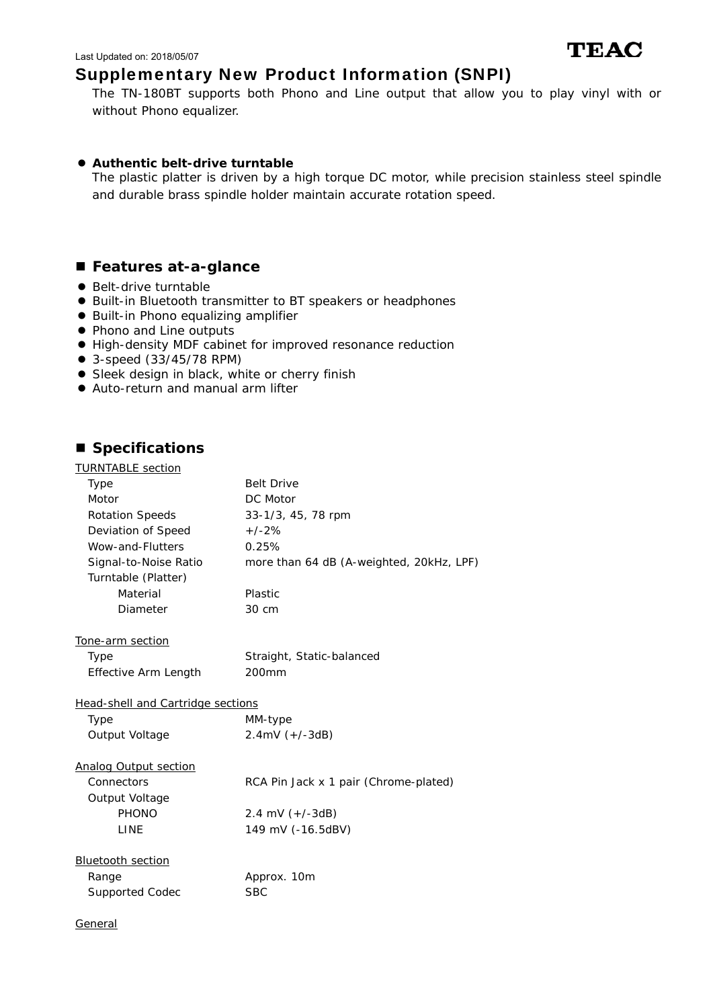## Supplementary New Product Information (SNPI)

The TN-180BT supports both Phono and Line output that allow you to play vinyl with or without Phono equalizer.

TEAC

#### **Authentic belt-drive turntable**

The plastic platter is driven by a high torque DC motor, while precision stainless steel spindle and durable brass spindle holder maintain accurate rotation speed.

### ■ Features at-a-glance

- Belt-drive turntable
- Built-in Bluetooth transmitter to BT speakers or headphones
- **Built-in Phono equalizing amplifier**
- Phono and Line outputs
- High-density MDF cabinet for improved resonance reduction
- 3-speed (33/45/78 RPM)
- **•** Sleek design in black, white or cherry finish
- Auto-return and manual arm lifter

### ■ Specifications

| <b>TURNTABLE</b> section                 |                                          |
|------------------------------------------|------------------------------------------|
| <b>Type</b>                              | <b>Belt Drive</b>                        |
| Motor                                    | DC Motor                                 |
| <b>Rotation Speeds</b>                   | 33-1/3, 45, 78 rpm                       |
| Deviation of Speed                       | $+/-2%$                                  |
| Wow-and-Flutters                         | 0.25%                                    |
| Signal-to-Noise Ratio                    | more than 64 dB (A-weighted, 20kHz, LPF) |
| Turntable (Platter)                      |                                          |
| Material                                 | Plastic                                  |
| Diameter                                 | 30 cm                                    |
| Tone-arm section                         |                                          |
| Type                                     | Straight, Static-balanced                |
| Effective Arm Length                     | 200mm                                    |
| <b>Head-shell and Cartridge sections</b> |                                          |
| Type                                     | MM-type                                  |
| Output Voltage                           | $2.4mV (+/-3dB)$                         |
| <b>Analog Output section</b>             |                                          |
| Connectors                               | RCA Pin Jack x 1 pair (Chrome-plated)    |
| Output Voltage                           |                                          |
| <b>PHONO</b>                             | 2.4 mV $(+/-3dB)$                        |
| LINE                                     | 149 mV (-16.5dBV)                        |
| <b>Bluetooth section</b>                 |                                          |
| Range                                    | Approx. 10m                              |
| <b>Supported Codec</b>                   | <b>SBC</b>                               |
| General                                  |                                          |